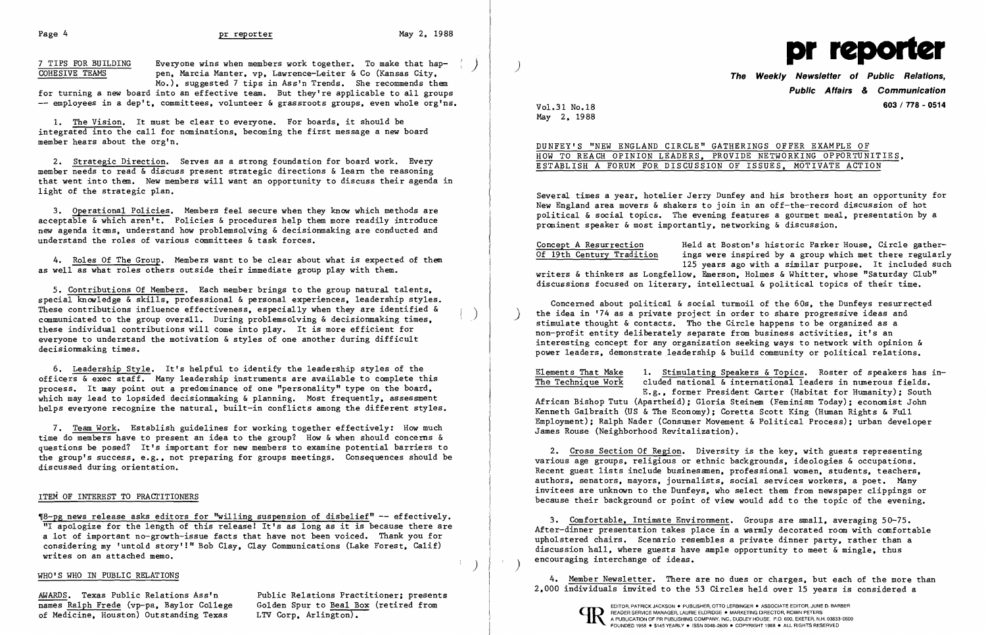## Page 4 and the contract of the properties of the May 2, 1988

7 TIPS FOR BUILDING Everyone wins when members work together. To make that hap-<br>
COHESIVE TEAMS pen. Marcia Manter. vp. Lawrence-Leiter & Co (Kansas City. Mo.). suggested 7 tips in Ass'n Trends. She recommends them

for turning a new board into an effective team. But they're applicable to all groups employees in a dep't. committees. volunteer & grassroots groups. even whole org'ns.

1. The Vision. It must be clear to everyone. For boards. it should be integrated into the call for nominations. becoming the first message a new board member hears about the org'n.

2. Strategic Direction. Serves as a strong foundation for board work. Every member needs to read & discuss present strategic directions & learn the reasoning that went into them. New members will want an opportunity to discuss their agenda in light of the strategic plan.

3. Operational Policies. Members feel secure when they know which methods are acceptable & which aren't. Policies & procedures help them more readily introduce new agenda items. understand how problemsolving & decisionmaking are conducted and understand the roles of various committees & task forces.

4. Roles Of The Group. Members want to be clear about what is expected of them as well as what roles others outside their immediate group play with them.

5. Contributions Of Members. Each member brings to the group natural talents. special knowledge & skills, professional & personal experiences, leadership styles. These contributions influence effectiveness, especially when they are identified &  $\alpha$  communicated to the group overall. During problemsolving & decisionmaking times. these individual contributions will come into play. It is more efficient for everyone to understand the motivation & styles of one another during difficult decisionmaking times.

Several times a year. hotelier Jerry Dunfey and his brothers host an opportunity for New England area movers & shakers to join in an off-the-record discussion of hot political & social topics. The evening features a gourmet meal, presentation by a prominent speaker & most importantly, networking & discussion.

6. Leadership Style. It's helpful to identify the leadership styles of the officers & exec staff. Many leadership instruments are available to complete this process. It may point out a predominance of one "personality" type on the board. which may lead to lopsided decisionmaking & planning. Most frequently, assessment helps everyone recognize the natural. built-in conflicts among the different styles. ings were inspired by a group which met there regularly 125 years ago with a similar purpose. It included such

Concept A Resurrection and Held at Boston's historic Parker House, Circle gather-<br>Of 19th Century Tradition ings were inspired by a group which met there regularl writers & thinkers as Longfellow. Emerson. Holmes & Whitter. whose "Saturday Club" discussions focused on literary. intellectual & political topics of their time.

Concerned about political & social turmoil of the 60s. the Dunfeys resurrected the idea in '74 as a private project in order to share progressive ideas and stimulate thought & contacts. Tho the Circle happens to be organized as a non-profit entity deliberately separate from business activities. it's an interesting concept for any organization seeking ways to network with opinion & power leaders, demonstrate leadership & build community or political relations.

7. Team Work. Establish guidelines for working together effectively: How much time do members have to present an idea to the group? How & when should concerns & questions be posed? It's important for new members to examine potential barriers to the group's success. e.g•• not preparing for groups meetings. Consequences should be discussed during orientation.

#### ITEM OF INTEREST TO PRACTITIONERS

Elements That Make 1. Stimulating Speakers & Topics. Roster of speakers has in-<br>The Technique Work cluded national & international leaders in numerous fields. cluded national & international leaders in numerous fields. E.g•• former President Carter (Habitat for Humanity); South African Bishop Tutu (Apartheid); Gloria Steinem (Feminism Today); economist John Kenneth Galbraith (US & The Economy); Coretta Scott King (Human Rights & Full Employment); Ralph Nader (Consumer Movement & Political Process); urban developer James Rouse (Neighborhood Revitalization).

'U8-pg news release asks editors for "willing suspension of disbelief" -- effectively. "I apologize for the length of this release! It's as long as it is because there are a lot of important no-growth-issue facts that have not been voiced. Thank you for considering my 'untold story'!" Bob Clay. Clay Communications (Lake Forest. Calif) writes on an attached memo.

3. Comfortable. Intimate Environment. Groups are small. averaging 50-75. After-dinner presentation takes place in a warmly decorated room with comfortable upholstered chairs. Scenario resembles a private dinner party. rather than a discussion hall, where guests have ample opportunity to meet  $\&$  mingle. thus encouraging interchange of ideas.

### WHO'S WHO IN PUBLIC RELATIONS

AWARDS. Texas Public Relations Ass'n<br>
names Ralph Frede (vp-pa. Baylor College Golden Spur to Beal Box (retired from of Medicine, Houston) Outstanding Texas

Golden Spur to Beal Box (retired from<br>LTV Corp, Arlington).



# **The Weekly Newsletter of Public Relations, Public Affairs & Communication**  Vo1.31 No.18 **603/ 778 - 0514**

May 2. 1988

DUNFEY'S "NEW ENGLAND CIRCLE" GATHERINGS OFFER EXAMPLE OF HOW TO REACH OPINION LEADERS. PROVIDE NETWORKING OPPORTUNITIES. ESTABLISH A FORUM FOR DISCUSSION OF ISSUES. MOTIVATE ACTION

2. Cross Section Of Region. Diversity is the key. with guests representing various age groups. religious or ethnic backgrounds. ideologies & occupations. Recent guest lists include businessmen. professional women. students. teachers. authors. senators. mayors. journalists. social services workers. a poet. Many invitees are unknown to the Dunfeys. who select them from newspaper clippings or because their background or point of view would add to the topic of the evening.

4. Member Newsletter. There are no dues or charges. but each of the more than 2.000 individuals invited to the 53 Circles held over 15 years is considered a



 $\mathcal{N}$  )

 $\mathcal{L} = \mathcal{L}$ 

EDITOR, PATRICK JACKSON ● PUBLISHER, OTTO LERBINGER ● ASSOCIATE EDITOR, JUNE D. BARBER<br>READER SERVICE MANAGER, LAURIE ELDRIDGE ● MARKETING DIRECTOR, ROBIN PETERS